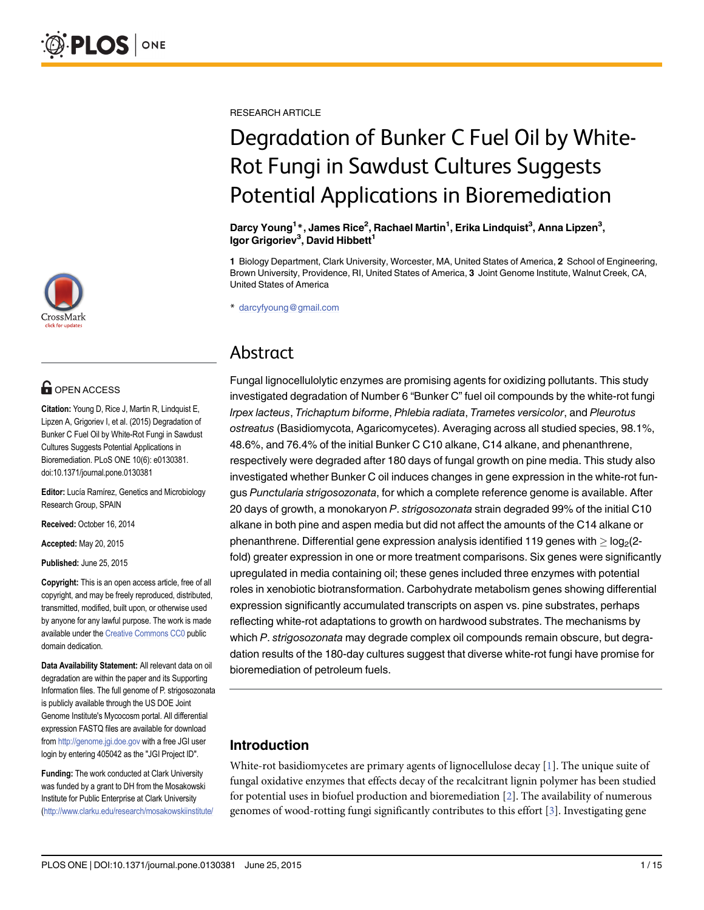

## **OPEN ACCESS**

Citation: Young D, Rice J, Martin R, Lindquist E, Lipzen A, Grigoriev I, et al. (2015) Degradation of Bunker C Fuel Oil by White-Rot Fungi in Sawdust Cultures Suggests Potential Applications in Bioremediation. PLoS ONE 10(6): e0130381. doi:10.1371/journal.pone.0130381

Editor: Lucía Ramírez, Genetics and Microbiology Research Group, SPAIN

Received: October 16, 2014

Accepted: May 20, 2015

Published: June 25, 2015

Copyright: This is an open access article, free of all copyright, and may be freely reproduced, distributed, transmitted, modified, built upon, or otherwise used by anyone for any lawful purpose. The work is made available under the [Creative Commons CC0](https://creativecommons.org/publicdomain/zero/1.0/) public domain dedication.

Data Availability Statement: All relevant data on oil degradation are within the paper and its Supporting Information files. The full genome of P. strigosozonata is publicly available through the US DOE Joint Genome Institute's Mycocosm portal. All differential expression FASTQ files are available for download from <http://genome.jgi.doe.gov> with a free JGI user login by entering 405042 as the "JGI Project ID".

Funding: The work conducted at Clark University was funded by a grant to DH from the Mosakowski Institute for Public Enterprise at Clark University [\(http://www.clarku.edu/research/mosakowskiinstitute/](http://www.clarku.edu/research/mosakowskiinstitute/) <span id="page-0-0"></span>RESEARCH ARTICLE

# Degradation of Bunker C Fuel Oil by White-Rot Fungi in Sawdust Cultures Suggests Potential Applications in Bioremediation

Darcy Young<sup>1</sup>\*, James Rice<sup>2</sup>, Rachael Martin<sup>1</sup>, Erika Lindquist<sup>3</sup>, Anna Lipzen<sup>3</sup>, Igor Grigoriev<sup>3</sup>, David Hibbett<sup>1</sup>

1 Biology Department, Clark University, Worcester, MA, United States of America, 2 School of Engineering, Brown University, Providence, RI, United States of America, 3 Joint Genome Institute, Walnut Creek, CA, United States of America

\* darcyfyoung@gmail.com

## Abstract

Fungal lignocellulolytic enzymes are promising agents for oxidizing pollutants. This study investigated degradation of Number 6 "Bunker C" fuel oil compounds by the white-rot fungi Irpex lacteus, Trichaptum biforme, Phlebia radiata, Trametes versicolor, and Pleurotus ostreatus (Basidiomycota, Agaricomycetes). Averaging across all studied species, 98.1%, 48.6%, and 76.4% of the initial Bunker C C10 alkane, C14 alkane, and phenanthrene, respectively were degraded after 180 days of fungal growth on pine media. This study also investigated whether Bunker C oil induces changes in gene expression in the white-rot fungus Punctularia strigosozonata, for which a complete reference genome is available. After 20 days of growth, a monokaryon P. strigosozonata strain degraded 99% of the initial C10 alkane in both pine and aspen media but did not affect the amounts of the C14 alkane or phenanthrene. Differential gene expression analysis identified 119 genes with  $\geq$  log<sub>2</sub>(2fold) greater expression in one or more treatment comparisons. Six genes were significantly upregulated in media containing oil; these genes included three enzymes with potential roles in xenobiotic biotransformation. Carbohydrate metabolism genes showing differential expression significantly accumulated transcripts on aspen vs. pine substrates, perhaps reflecting white-rot adaptations to growth on hardwood substrates. The mechanisms by which P. strigosozonata may degrade complex oil compounds remain obscure, but degradation results of the 180-day cultures suggest that diverse white-rot fungi have promise for bioremediation of petroleum fuels.

## Introduction

White-rot basidiomycetes are primary agents of lignocellulose decay [[1](#page-12-0)]. The unique suite of fungal oxidative enzymes that effects decay of the recalcitrant lignin polymer has been studied for potential uses in biofuel production and bioremediation [[2](#page-12-0)]. The availability of numerous genomes of wood-rotting fungi significantly contributes to this effort  $[3]$  $[3]$  $[3]$ . Investigating gene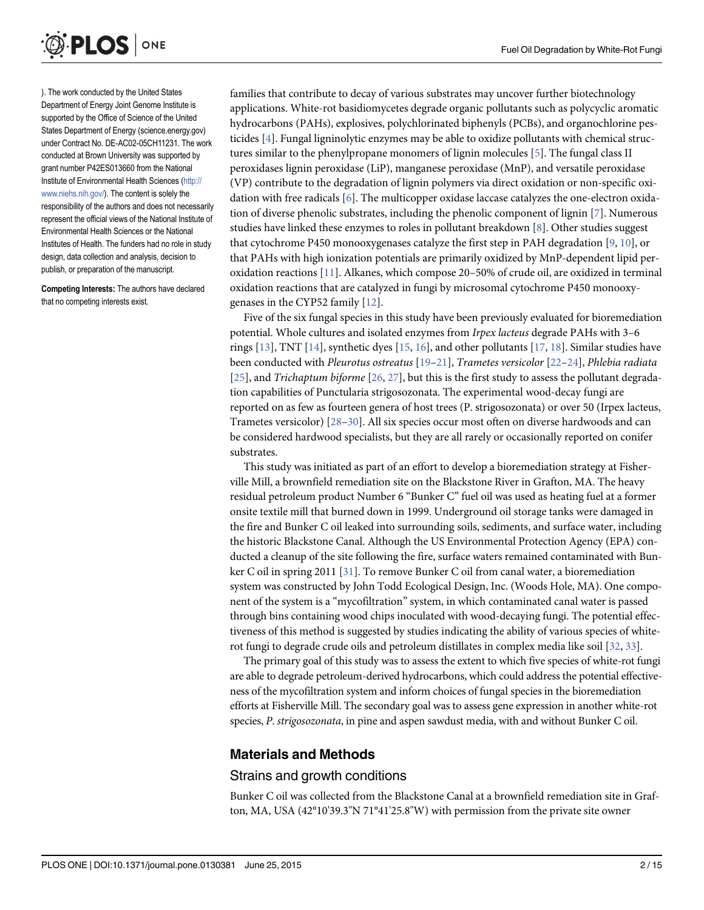<span id="page-1-0"></span>

). The work conducted by the United States Department of Energy Joint Genome Institute is supported by the Office of Science of the United States Department of Energy (science.energy.gov) under Contract No. DE-AC02-05CH11231. The work conducted at Brown University was supported by grant number P42ES013660 from the National Institute of Environmental Health Sciences ([http://](http://www.niehs.nih.gov/) [www.niehs.nih.gov/\)](http://www.niehs.nih.gov/). The content is solely the responsibility of the authors and does not necessarily represent the official views of the National Institute of Environmental Health Sciences or the National Institutes of Health. The funders had no role in study design, data collection and analysis, decision to publish, or preparation of the manuscript.

Competing Interests: The authors have declared that no competing interests exist.

families that contribute to decay of various substrates may uncover further biotechnology applications. White-rot basidiomycetes degrade organic pollutants such as polycyclic aromatic hydrocarbons (PAHs), explosives, polychlorinated biphenyls (PCBs), and organochlorine pesticides  $[4]$ . Fungal ligninolytic enzymes may be able to oxidize pollutants with chemical structures similar to the phenylpropane monomers of lignin molecules [\[5\]](#page-12-0). The fungal class II peroxidases lignin peroxidase (LiP), manganese peroxidase (MnP), and versatile peroxidase (VP) contribute to the degradation of lignin polymers via direct oxidation or non-specific oxidation with free radicals [\[6\]](#page-12-0). The multicopper oxidase laccase catalyzes the one-electron oxidation of diverse phenolic substrates, including the phenolic component of lignin  $[7]$  $[7]$ . Numerous studies have linked these enzymes to roles in pollutant breakdown [[8\]](#page-12-0). Other studies suggest that cytochrome P450 monooxygenases catalyze the first step in PAH degradation [\[9,](#page-12-0) [10\]](#page-12-0), or that PAHs with high ionization potentials are primarily oxidized by MnP-dependent lipid peroxidation reactions [[11](#page-12-0)]. Alkanes, which compose 20–50% of crude oil, are oxidized in terminal oxidation reactions that are catalyzed in fungi by microsomal cytochrome P450 monooxygenases in the CYP52 family [\[12\]](#page-12-0).

Five of the six fungal species in this study have been previously evaluated for bioremediation potential. Whole cultures and isolated enzymes from Irpex lacteus degrade PAHs with 3–6 rings  $[13]$  $[13]$  $[13]$ , TNT  $[14]$ , synthetic dyes  $[15, 16]$  $[15, 16]$  $[15, 16]$ , and other pollutants  $[17, 18]$  $[17, 18]$  $[17, 18]$  $[17, 18]$  $[17, 18]$ . Similar studies have been conducted with Pleurotus ostreatus [[19](#page-13-0)–[21](#page-13-0)], Trametes versicolor [[22](#page-13-0)–[24](#page-13-0)], Phlebia radiata [\[25](#page-13-0)], and Trichaptum biforme [\[26,](#page-13-0) [27\]](#page-13-0), but this is the first study to assess the pollutant degradation capabilities of Punctularia strigosozonata. The experimental wood-decay fungi are reported on as few as fourteen genera of host trees (P. strigosozonata) or over 50 (Irpex lacteus, Trametes versicolor) [[28](#page-13-0)–[30\]](#page-13-0). All six species occur most often on diverse hardwoods and can be considered hardwood specialists, but they are all rarely or occasionally reported on conifer substrates.

This study was initiated as part of an effort to develop a bioremediation strategy at Fisherville Mill, a brownfield remediation site on the Blackstone River in Grafton, MA. The heavy residual petroleum product Number 6 "Bunker C" fuel oil was used as heating fuel at a former onsite textile mill that burned down in 1999. Underground oil storage tanks were damaged in the fire and Bunker C oil leaked into surrounding soils, sediments, and surface water, including the historic Blackstone Canal. Although the US Environmental Protection Agency (EPA) conducted a cleanup of the site following the fire, surface waters remained contaminated with Bunker C oil in spring 2011 [\[31\]](#page-13-0). To remove Bunker C oil from canal water, a bioremediation system was constructed by John Todd Ecological Design, Inc. (Woods Hole, MA). One component of the system is a "mycofiltration" system, in which contaminated canal water is passed through bins containing wood chips inoculated with wood-decaying fungi. The potential effectiveness of this method is suggested by studies indicating the ability of various species of whiterot fungi to degrade crude oils and petroleum distillates in complex media like soil [\[32,](#page-13-0) [33\]](#page-13-0).

The primary goal of this study was to assess the extent to which five species of white-rot fungi are able to degrade petroleum-derived hydrocarbons, which could address the potential effectiveness of the mycofiltration system and inform choices of fungal species in the bioremediation efforts at Fisherville Mill. The secondary goal was to assess gene expression in another white-rot species, P. strigosozonata, in pine and aspen sawdust media, with and without Bunker C oil.

## Materials and Methods

## Strains and growth conditions

Bunker C oil was collected from the Blackstone Canal at a brownfield remediation site in Grafton, MA, USA (42°10'39.3"N 71°41'25.8"W) with permission from the private site owner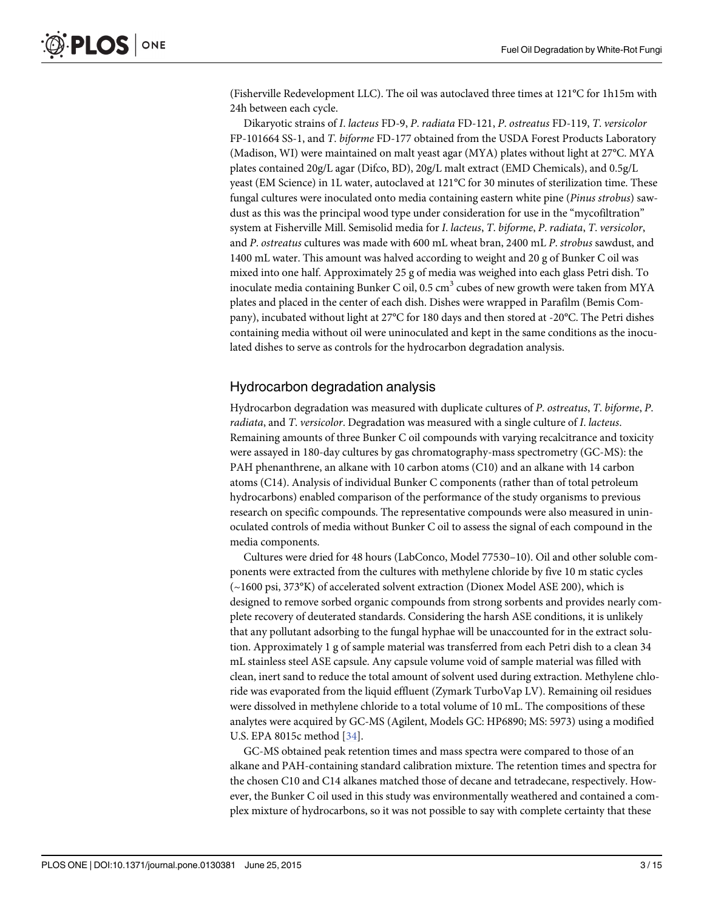<span id="page-2-0"></span>(Fisherville Redevelopment LLC). The oil was autoclaved three times at 121°C for 1h15m with 24h between each cycle.

Dikaryotic strains of I. lacteus FD-9, P. radiata FD-121, P. ostreatus FD-119, T. versicolor FP-101664 SS-1, and T. biforme FD-177 obtained from the USDA Forest Products Laboratory (Madison, WI) were maintained on malt yeast agar (MYA) plates without light at 27°C. MYA plates contained 20g/L agar (Difco, BD), 20g/L malt extract (EMD Chemicals), and 0.5g/L yeast (EM Science) in 1L water, autoclaved at 121°C for 30 minutes of sterilization time. These fungal cultures were inoculated onto media containing eastern white pine (Pinus strobus) sawdust as this was the principal wood type under consideration for use in the "mycofiltration" system at Fisherville Mill. Semisolid media for I. lacteus, T. biforme, P. radiata, T. versicolor, and P. ostreatus cultures was made with 600 mL wheat bran, 2400 mL P. strobus sawdust, and 1400 mL water. This amount was halved according to weight and 20 g of Bunker C oil was mixed into one half. Approximately 25 g of media was weighed into each glass Petri dish. To inoculate media containing Bunker C oil,  $0.5 \text{ cm}^3$  cubes of new growth were taken from MYA plates and placed in the center of each dish. Dishes were wrapped in Parafilm (Bemis Company), incubated without light at 27°C for 180 days and then stored at -20°C. The Petri dishes containing media without oil were uninoculated and kept in the same conditions as the inoculated dishes to serve as controls for the hydrocarbon degradation analysis.

## Hydrocarbon degradation analysis

Hydrocarbon degradation was measured with duplicate cultures of P. ostreatus, T. biforme, P. radiata, and T. versicolor. Degradation was measured with a single culture of I. lacteus. Remaining amounts of three Bunker C oil compounds with varying recalcitrance and toxicity were assayed in 180-day cultures by gas chromatography-mass spectrometry (GC-MS): the PAH phenanthrene, an alkane with 10 carbon atoms (C10) and an alkane with 14 carbon atoms (C14). Analysis of individual Bunker C components (rather than of total petroleum hydrocarbons) enabled comparison of the performance of the study organisms to previous research on specific compounds. The representative compounds were also measured in uninoculated controls of media without Bunker C oil to assess the signal of each compound in the media components.

Cultures were dried for 48 hours (LabConco, Model 77530–10). Oil and other soluble components were extracted from the cultures with methylene chloride by five 10 m static cycles (~1600 psi, 373°K) of accelerated solvent extraction (Dionex Model ASE 200), which is designed to remove sorbed organic compounds from strong sorbents and provides nearly complete recovery of deuterated standards. Considering the harsh ASE conditions, it is unlikely that any pollutant adsorbing to the fungal hyphae will be unaccounted for in the extract solution. Approximately 1 g of sample material was transferred from each Petri dish to a clean 34 mL stainless steel ASE capsule. Any capsule volume void of sample material was filled with clean, inert sand to reduce the total amount of solvent used during extraction. Methylene chloride was evaporated from the liquid effluent (Zymark TurboVap LV). Remaining oil residues were dissolved in methylene chloride to a total volume of 10 mL. The compositions of these analytes were acquired by GC-MS (Agilent, Models GC: HP6890; MS: 5973) using a modified U.S. EPA 8015c method [[34\]](#page-13-0).

GC-MS obtained peak retention times and mass spectra were compared to those of an alkane and PAH-containing standard calibration mixture. The retention times and spectra for the chosen C10 and C14 alkanes matched those of decane and tetradecane, respectively. However, the Bunker C oil used in this study was environmentally weathered and contained a complex mixture of hydrocarbons, so it was not possible to say with complete certainty that these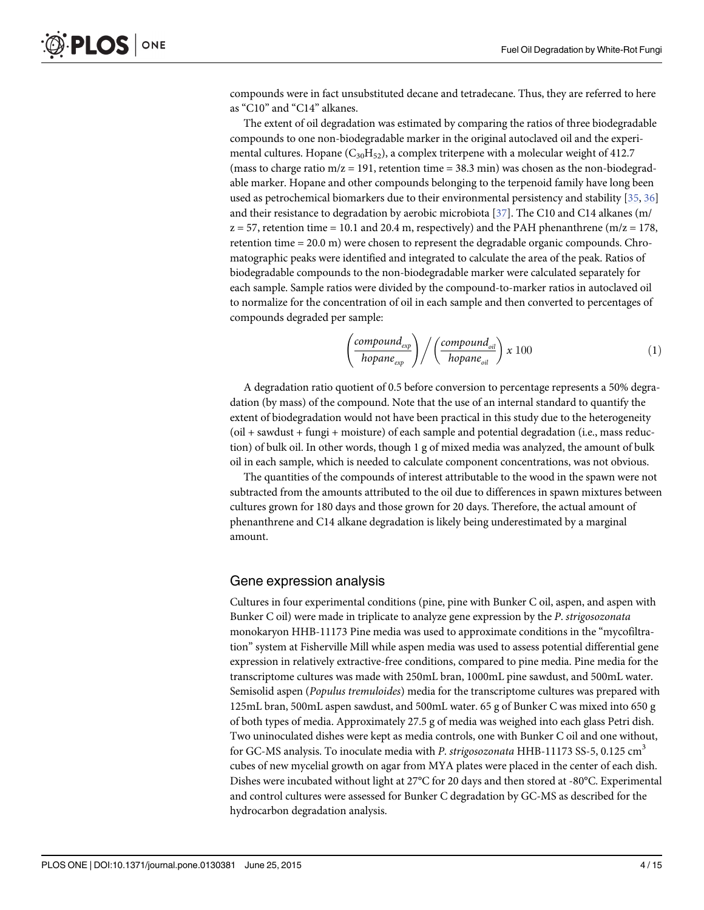<span id="page-3-0"></span>compounds were in fact unsubstituted decane and tetradecane. Thus, they are referred to here as "C10" and "C14" alkanes.

The extent of oil degradation was estimated by comparing the ratios of three biodegradable compounds to one non-biodegradable marker in the original autoclaved oil and the experimental cultures. Hopane  $(C_{30}H_{52})$ , a complex triterpene with a molecular weight of 412.7 (mass to charge ratio  $m/z = 191$ , retention time = 38.3 min) was chosen as the non-biodegradable marker. Hopane and other compounds belonging to the terpenoid family have long been used as petrochemical biomarkers due to their environmental persistency and stability [\[35,](#page-13-0) [36\]](#page-13-0) and their resistance to degradation by aerobic microbiota [[37](#page-13-0)]. The C10 and C14 alkanes (m/  $z = 57$ , retention time = 10.1 and 20.4 m, respectively) and the PAH phenanthrene (m/z = 178, retention time = 20.0 m) were chosen to represent the degradable organic compounds. Chromatographic peaks were identified and integrated to calculate the area of the peak. Ratios of biodegradable compounds to the non-biodegradable marker were calculated separately for each sample. Sample ratios were divided by the compound-to-marker ratios in autoclaved oil to normalize for the concentration of oil in each sample and then converted to percentages of compounds degraded per sample:

$$
\left(\frac{compound_{exp}}{hopane_{exp}}\right) / \left(\frac{compound_{oil}}{hopane_{oil}}\right) x 100
$$
\n(1)

A degradation ratio quotient of 0.5 before conversion to percentage represents a 50% degradation (by mass) of the compound. Note that the use of an internal standard to quantify the extent of biodegradation would not have been practical in this study due to the heterogeneity (oil + sawdust + fungi + moisture) of each sample and potential degradation (i.e., mass reduction) of bulk oil. In other words, though 1 g of mixed media was analyzed, the amount of bulk oil in each sample, which is needed to calculate component concentrations, was not obvious.

The quantities of the compounds of interest attributable to the wood in the spawn were not subtracted from the amounts attributed to the oil due to differences in spawn mixtures between cultures grown for 180 days and those grown for 20 days. Therefore, the actual amount of phenanthrene and C14 alkane degradation is likely being underestimated by a marginal amount.

## Gene expression analysis

Cultures in four experimental conditions (pine, pine with Bunker C oil, aspen, and aspen with Bunker C oil) were made in triplicate to analyze gene expression by the P. strigosozonata monokaryon HHB-11173 Pine media was used to approximate conditions in the "mycofiltration" system at Fisherville Mill while aspen media was used to assess potential differential gene expression in relatively extractive-free conditions, compared to pine media. Pine media for the transcriptome cultures was made with 250mL bran, 1000mL pine sawdust, and 500mL water. Semisolid aspen (Populus tremuloides) media for the transcriptome cultures was prepared with 125mL bran, 500mL aspen sawdust, and 500mL water. 65 g of Bunker C was mixed into 650 g of both types of media. Approximately 27.5 g of media was weighed into each glass Petri dish. Two uninoculated dishes were kept as media controls, one with Bunker C oil and one without, for GC-MS analysis. To inoculate media with P. strigosozonata HHB-11173 SS-5, 0.125 cm<sup>3</sup> cubes of new mycelial growth on agar from MYA plates were placed in the center of each dish. Dishes were incubated without light at 27°C for 20 days and then stored at -80°C. Experimental and control cultures were assessed for Bunker C degradation by GC-MS as described for the hydrocarbon degradation analysis.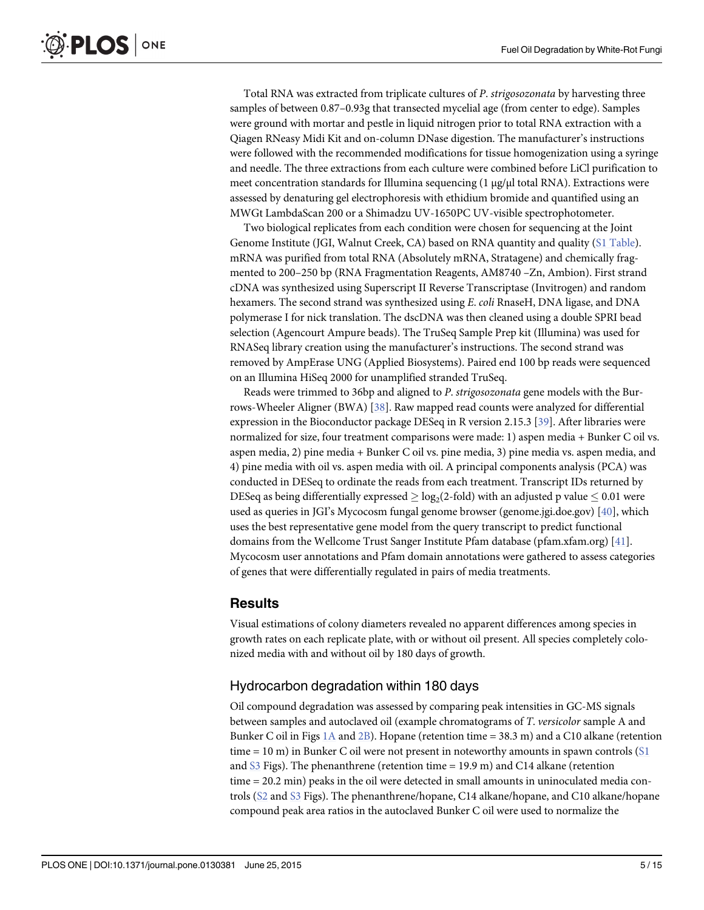<span id="page-4-0"></span>Total RNA was extracted from triplicate cultures of P. strigosozonata by harvesting three samples of between 0.87–0.93g that transected mycelial age (from center to edge). Samples were ground with mortar and pestle in liquid nitrogen prior to total RNA extraction with a Qiagen RNeasy Midi Kit and on-column DNase digestion. The manufacturer's instructions were followed with the recommended modifications for tissue homogenization using a syringe and needle. The three extractions from each culture were combined before LiCl purification to meet concentration standards for Illumina sequencing (1 μg/μl total RNA). Extractions were assessed by denaturing gel electrophoresis with ethidium bromide and quantified using an MWGt LambdaScan 200 or a Shimadzu UV-1650PC UV-visible spectrophotometer.

Two biological replicates from each condition were chosen for sequencing at the Joint Genome Institute (JGI, Walnut Creek, CA) based on RNA quantity and quality [\(S1 Table](#page-11-0)). mRNA was purified from total RNA (Absolutely mRNA, Stratagene) and chemically fragmented to 200–250 bp (RNA Fragmentation Reagents, AM8740 –Zn, Ambion). First strand cDNA was synthesized using Superscript II Reverse Transcriptase (Invitrogen) and random hexamers. The second strand was synthesized using E. coli RnaseH, DNA ligase, and DNA polymerase I for nick translation. The dscDNA was then cleaned using a double SPRI bead selection (Agencourt Ampure beads). The TruSeq Sample Prep kit (Illumina) was used for RNASeq library creation using the manufacturer's instructions. The second strand was removed by AmpErase UNG (Applied Biosystems). Paired end 100 bp reads were sequenced on an Illumina HiSeq 2000 for unamplified stranded TruSeq.

Reads were trimmed to 36bp and aligned to P. strigosozonata gene models with the Burrows-Wheeler Aligner (BWA) [\[38](#page-13-0)]. Raw mapped read counts were analyzed for differential expression in the Bioconductor package DESeq in R version 2.15.3 [\[39\]](#page-13-0). After libraries were normalized for size, four treatment comparisons were made: 1) aspen media + Bunker C oil vs. aspen media, 2) pine media + Bunker C oil vs. pine media, 3) pine media vs. aspen media, and 4) pine media with oil vs. aspen media with oil. A principal components analysis (PCA) was conducted in DESeq to ordinate the reads from each treatment. Transcript IDs returned by DESeq as being differentially expressed  $>$  log<sub>2</sub>(2-fold) with an adjusted p value  $< 0.01$  were used as queries in JGI's Mycocosm fungal genome browser (genome.jgi.doe.gov) [\[40\]](#page-14-0), which uses the best representative gene model from the query transcript to predict functional domains from the Wellcome Trust Sanger Institute Pfam database (pfam.xfam.org) [[41\]](#page-14-0). Mycocosm user annotations and Pfam domain annotations were gathered to assess categories of genes that were differentially regulated in pairs of media treatments.

## Results

Visual estimations of colony diameters revealed no apparent differences among species in growth rates on each replicate plate, with or without oil present. All species completely colonized media with and without oil by 180 days of growth.

## Hydrocarbon degradation within 180 days

Oil compound degradation was assessed by comparing peak intensities in GC-MS signals between samples and autoclaved oil (example chromatograms of T. versicolor sample A and Bunker C oil in Figs [1A](#page-5-0) and [2B](#page-5-0)). Hopane (retention time =  $38.3$  m) and a C10 alkane (retention time = 10 m) in Bunker C oil were not present in noteworthy amounts in spawn controls  $(S1)$  $(S1)$  $(S1)$ and [S3](#page-11-0) Figs). The phenanthrene (retention time  $= 19.9$  m) and C14 alkane (retention time = 20.2 min) peaks in the oil were detected in small amounts in uninoculated media controls [\(S2](#page-11-0) and [S3](#page-11-0) Figs). The phenanthrene/hopane, C14 alkane/hopane, and C10 alkane/hopane compound peak area ratios in the autoclaved Bunker C oil were used to normalize the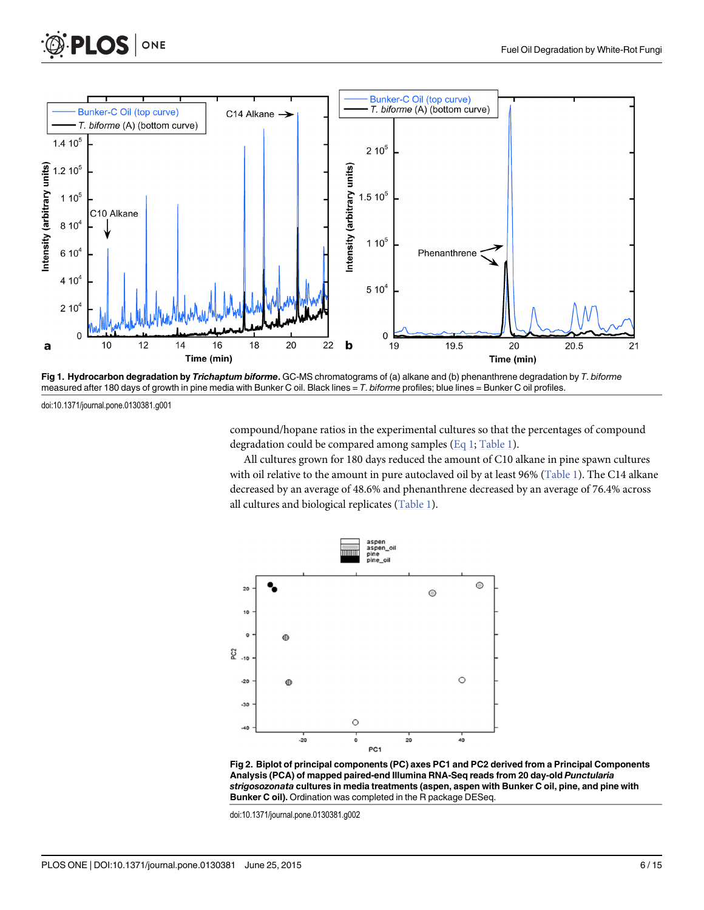<span id="page-5-0"></span>



[Fig 1. H](#page-4-0)ydrocarbon degradation by Trichaptum biforme. GC-MS chromatograms of (a) alkane and (b) phenanthrene degradation by T. biforme measured after 180 days of growth in pine media with Bunker C oil. Black lines =  $T$ . biforme profiles; blue lines = Bunker C oil profiles.

doi:10.1371/journal.pone.0130381.g001

compound/hopane ratios in the experimental cultures so that the percentages of compound degradation could be compared among samples ([Eq 1](#page-3-0); [Table 1](#page-6-0)).

All cultures grown for 180 days reduced the amount of C10 alkane in pine spawn cultures with oil relative to the amount in pure autoclaved oil by at least 96% ([Table 1\)](#page-6-0). The C14 alkane decreased by an average of 48.6% and phenanthrene decreased by an average of 76.4% across all cultures and biological replicates [\(Table 1\)](#page-6-0).



[Fig 2. B](#page-4-0)iplot of principal components (PC) axes PC1 and PC2 derived from a Principal Components Analysis (PCA) of mapped paired-end Illumina RNA-Seq reads from 20 day-old Punctularia strigosozonata cultures in media treatments (aspen, aspen with Bunker C oil, pine, and pine with Bunker C oil). Ordination was completed in the R package DESeq.

doi:10.1371/journal.pone.0130381.g002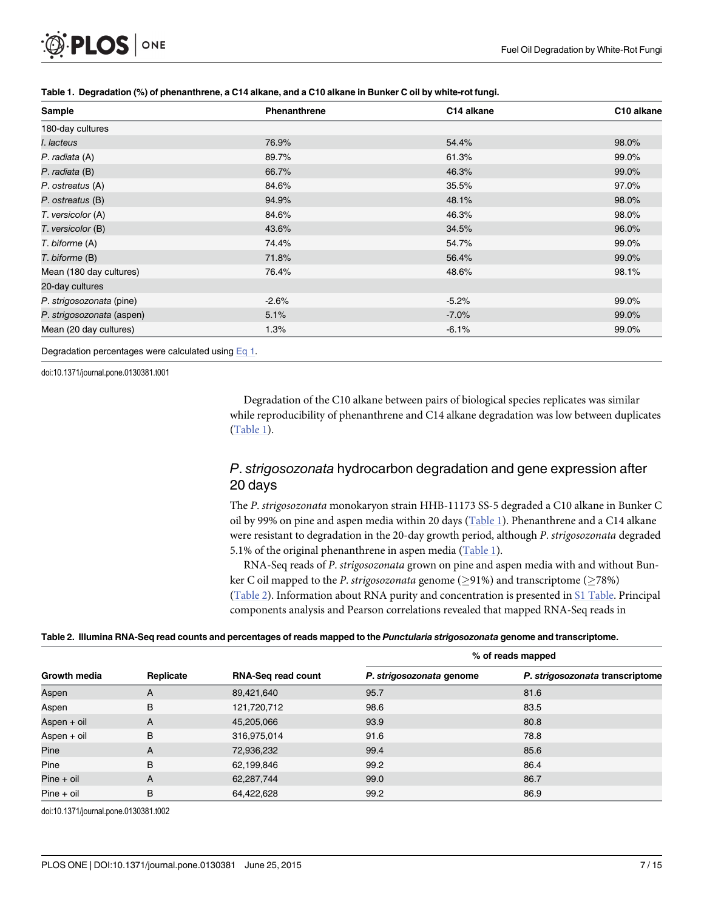<span id="page-6-0"></span>

| Sample                    | <b>Phenanthrene</b> | C14 alkane | C <sub>10</sub> alkane |
|---------------------------|---------------------|------------|------------------------|
| 180-day cultures          |                     |            |                        |
| I. lacteus                | 76.9%               | 54.4%      | 98.0%                  |
| P. radiata (A)            | 89.7%               | 61.3%      | 99.0%                  |
| P. radiata (B)            | 66.7%               | 46.3%      | 99.0%                  |
| P. ostreatus (A)          | 84.6%               | 35.5%      | 97.0%                  |
| P. ostreatus (B)          | 94.9%               | 48.1%      | 98.0%                  |
| T. versicolor (A)         | 84.6%               | 46.3%      | 98.0%                  |
| T. versicolor (B)         | 43.6%               | 34.5%      | 96.0%                  |
| T. biforme (A)            | 74.4%               | 54.7%      | 99.0%                  |
| T. biforme (B)            | 71.8%               | 56.4%      | 99.0%                  |
| Mean (180 day cultures)   | 76.4%               | 48.6%      | 98.1%                  |
| 20-day cultures           |                     |            |                        |
| P. strigosozonata (pine)  | $-2.6%$             | $-5.2%$    | 99.0%                  |
| P. strigosozonata (aspen) | 5.1%                | $-7.0\%$   | 99.0%                  |
| Mean (20 day cultures)    | 1.3%                | $-6.1%$    | 99.0%                  |

#### [Table 1.](#page-5-0) Degradation (%) of phenanthrene, a C14 alkane, and a C10 alkane in Bunker C oil by white-rot fungi.

Degradation percentages were calculated using [Eq 1.](#page-3-0)

doi:10.1371/journal.pone.0130381.t001

Degradation of the C10 alkane between pairs of biological species replicates was similar while reproducibility of phenanthrene and C14 alkane degradation was low between duplicates (Table 1).

## P. strigosozonata hydrocarbon degradation and gene expression after 20 days

The P. strigosozonata monokaryon strain HHB-11173 SS-5 degraded a C10 alkane in Bunker C oil by 99% on pine and aspen media within 20 days (Table 1). Phenanthrene and a C14 alkane were resistant to degradation in the 20-day growth period, although P. strigosozonata degraded 5.1% of the original phenanthrene in aspen media  $(Table 1)$ .

RNA-Seq reads of P. strigosozonata grown on pine and aspen media with and without Bunker C oil mapped to the *P. strigosozonata* genome ( $\geq$ 91%) and transcriptome ( $\geq$ 78%) (Table 2). Information about RNA purity and concentration is presented in [S1 Table.](#page-11-0) Principal components analysis and Pearson correlations revealed that mapped RNA-Seq reads in

#### Table 2. Illumina RNA-Seq read counts and percentages of reads mapped to the Punctularia strigosozonata genome and transcriptome.

|                     |           |                           | % of reads mapped        |                                 |  |
|---------------------|-----------|---------------------------|--------------------------|---------------------------------|--|
| <b>Growth media</b> | Replicate | <b>RNA-Seq read count</b> | P. strigosozonata genome | P. strigosozonata transcriptome |  |
| Aspen               | A         | 89,421,640                | 95.7                     | 81.6                            |  |
| Aspen               | B         | 121,720,712               | 98.6                     | 83.5                            |  |
| Aspen + oil         | A         | 45,205,066                | 93.9                     | 80.8                            |  |
| Aspen + oil         | B         | 316,975,014               | 91.6                     | 78.8                            |  |
| Pine                | A         | 72,936,232                | 99.4                     | 85.6                            |  |
| Pine                | B         | 62,199,846                | 99.2                     | 86.4                            |  |
| $Pine + oil$        | A         | 62,287,744                | 99.0                     | 86.7                            |  |
| $Pine + oil$        | B         | 64,422,628                | 99.2                     | 86.9                            |  |

doi:10.1371/journal.pone.0130381.t002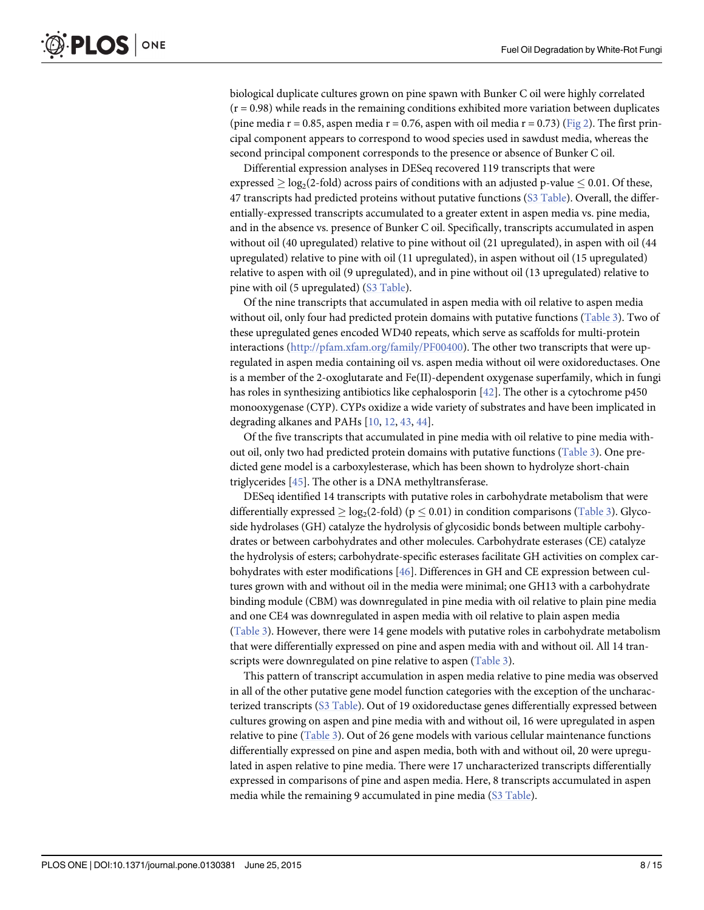<span id="page-7-0"></span>biological duplicate cultures grown on pine spawn with Bunker C oil were highly correlated  $(r = 0.98)$  while reads in the remaining conditions exhibited more variation between duplicates (pine media r = 0.85, aspen media r = 0.76, aspen with oil media r = 0.73) ([Fig 2](#page-5-0)). The first principal component appears to correspond to wood species used in sawdust media, whereas the second principal component corresponds to the presence or absence of Bunker C oil.

Differential expression analyses in DESeq recovered 119 transcripts that were expressed  $\geq$  log<sub>2</sub>(2-fold) across pairs of conditions with an adjusted p-value  $\leq$  0.01. Of these, 47 transcripts had predicted proteins without putative functions ([S3 Table\)](#page-11-0). Overall, the differentially-expressed transcripts accumulated to a greater extent in aspen media vs. pine media, and in the absence vs. presence of Bunker C oil. Specifically, transcripts accumulated in aspen without oil (40 upregulated) relative to pine without oil (21 upregulated), in aspen with oil (44 upregulated) relative to pine with oil (11 upregulated), in aspen without oil (15 upregulated) relative to aspen with oil (9 upregulated), and in pine without oil (13 upregulated) relative to pine with oil (5 upregulated) ([S3 Table\)](#page-11-0).

Of the nine transcripts that accumulated in aspen media with oil relative to aspen media without oil, only four had predicted protein domains with putative functions [\(Table 3\)](#page-8-0). Two of these upregulated genes encoded WD40 repeats, which serve as scaffolds for multi-protein interactions ([http://pfam.xfam.org/family/PF00400\)](http://pfam.xfam.org/family/PF00400). The other two transcripts that were upregulated in aspen media containing oil vs. aspen media without oil were oxidoreductases. One is a member of the 2-oxoglutarate and Fe(II)-dependent oxygenase superfamily, which in fungi has roles in synthesizing antibiotics like cephalosporin [\[42\]](#page-14-0). The other is a cytochrome p450 monooxygenase (CYP). CYPs oxidize a wide variety of substrates and have been implicated in degrading alkanes and PAHs [\[10,](#page-12-0) [12,](#page-12-0) [43,](#page-14-0) [44\]](#page-14-0).

Of the five transcripts that accumulated in pine media with oil relative to pine media without oil, only two had predicted protein domains with putative functions ([Table 3\)](#page-8-0). One predicted gene model is a carboxylesterase, which has been shown to hydrolyze short-chain triglycerides [\[45\]](#page-14-0). The other is a DNA methyltransferase.

DESeq identified 14 transcripts with putative roles in carbohydrate metabolism that were differentially expressed  $\geq \log_2(2\text{-fold})$  (p  $\leq 0.01$ ) in condition comparisons ([Table 3\)](#page-8-0). Glycoside hydrolases (GH) catalyze the hydrolysis of glycosidic bonds between multiple carbohydrates or between carbohydrates and other molecules. Carbohydrate esterases (CE) catalyze the hydrolysis of esters; carbohydrate-specific esterases facilitate GH activities on complex carbohydrates with ester modifications [\[46\]](#page-14-0). Differences in GH and CE expression between cultures grown with and without oil in the media were minimal; one GH13 with a carbohydrate binding module (CBM) was downregulated in pine media with oil relative to plain pine media and one CE4 was downregulated in aspen media with oil relative to plain aspen media [\(Table 3\)](#page-8-0). However, there were 14 gene models with putative roles in carbohydrate metabolism that were differentially expressed on pine and aspen media with and without oil. All 14 tran-scripts were downregulated on pine relative to aspen ([Table 3](#page-8-0)).

This pattern of transcript accumulation in aspen media relative to pine media was observed in all of the other putative gene model function categories with the exception of the uncharacterized transcripts [\(S3 Table](#page-11-0)). Out of 19 oxidoreductase genes differentially expressed between cultures growing on aspen and pine media with and without oil, 16 were upregulated in aspen relative to pine ([Table 3\)](#page-8-0). Out of 26 gene models with various cellular maintenance functions differentially expressed on pine and aspen media, both with and without oil, 20 were upregulated in aspen relative to pine media. There were 17 uncharacterized transcripts differentially expressed in comparisons of pine and aspen media. Here, 8 transcripts accumulated in aspen media while the remaining 9 accumulated in pine media ([S3 Table\)](#page-11-0).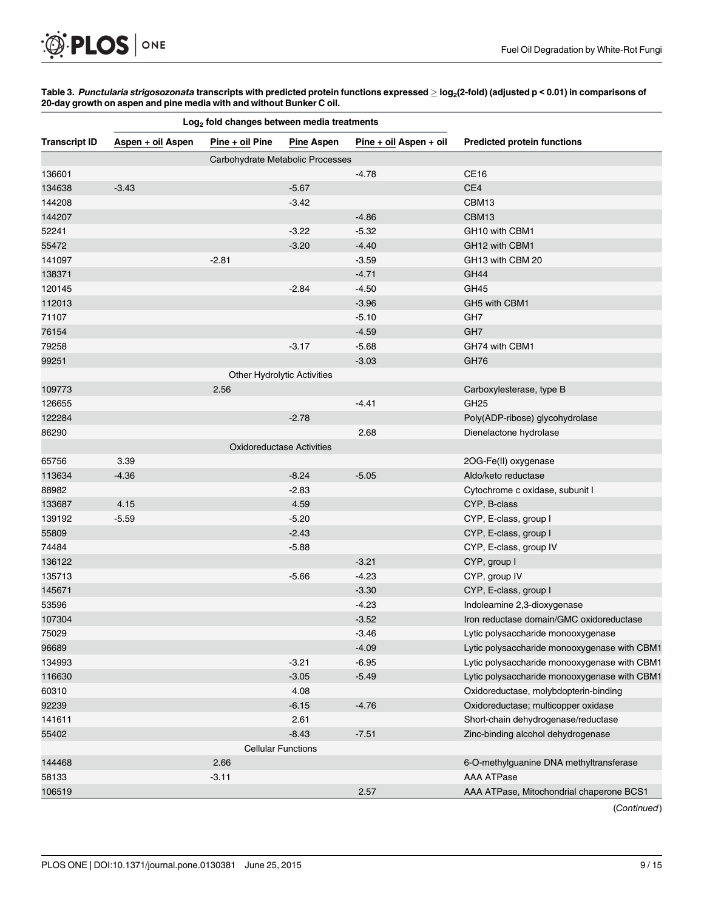<span id="page-8-0"></span>[Table 3.](#page-7-0) Punctularia strigosozonata transcripts with predicted protein functions expressed  $\geq$  log<sub>2</sub>(2-fold) (adjusted p < 0.01) in comparisons of 20-day growth on aspen and pine media with and without Bunker C oil.

|                      | Log <sub>2</sub> fold changes between media treatments |                                    |                   |                        |                                              |
|----------------------|--------------------------------------------------------|------------------------------------|-------------------|------------------------|----------------------------------------------|
| <b>Transcript ID</b> | Aspen + oil Aspen                                      | Pine + oil Pine                    | <b>Pine Aspen</b> | Pine + oil Aspen + oil | <b>Predicted protein functions</b>           |
|                      |                                                        | Carbohydrate Metabolic Processes   |                   |                        |                                              |
| 136601               |                                                        |                                    |                   | $-4.78$                | CE <sub>16</sub>                             |
| 134638               | $-3.43$                                                |                                    | $-5.67$           |                        | CE4                                          |
| 144208               |                                                        |                                    | $-3.42$           |                        | CBM13                                        |
| 144207               |                                                        |                                    |                   | $-4.86$                | CBM13                                        |
| 52241                |                                                        |                                    | $-3.22$           | $-5.32$                | GH10 with CBM1                               |
| 55472                |                                                        |                                    | $-3.20$           | $-4.40$                | GH12 with CBM1                               |
| 141097               |                                                        | $-2.81$                            |                   | $-3.59$                | GH13 with CBM 20                             |
| 138371               |                                                        |                                    |                   | $-4.71$                | GH44                                         |
| 120145               |                                                        |                                    | $-2.84$           | $-4.50$                | GH45                                         |
| 112013               |                                                        |                                    |                   | $-3.96$                | GH5 with CBM1                                |
| 71107                |                                                        |                                    |                   | $-5.10$                | GH <sub>7</sub>                              |
| 76154                |                                                        |                                    |                   | $-4.59$                | GH <sub>7</sub>                              |
| 79258                |                                                        |                                    | $-3.17$           | $-5.68$                | GH74 with CBM1                               |
| 99251                |                                                        |                                    |                   | $-3.03$                | GH76                                         |
|                      |                                                        | <b>Other Hydrolytic Activities</b> |                   |                        |                                              |
| 109773               |                                                        | 2.56                               |                   |                        | Carboxylesterase, type B                     |
| 126655               |                                                        |                                    |                   | $-4.41$                | GH <sub>25</sub>                             |
| 122284               |                                                        |                                    | $-2.78$           |                        | Poly(ADP-ribose) glycohydrolase              |
| 86290                |                                                        |                                    |                   | 2.68                   | Dienelactone hydrolase                       |
|                      |                                                        | Oxidoreductase Activities          |                   |                        |                                              |
| 65756                | 3.39                                                   |                                    |                   |                        | 2OG-Fe(II) oxygenase                         |
| 113634               | $-4.36$                                                |                                    | $-8.24$           | $-5.05$                | Aldo/keto reductase                          |
| 88982                |                                                        |                                    | $-2.83$           |                        | Cytochrome c oxidase, subunit I              |
| 133687               | 4.15                                                   |                                    | 4.59              |                        | CYP, B-class                                 |
| 139192               | $-5.59$                                                |                                    | $-5.20$           |                        | CYP, E-class, group I                        |
| 55809                |                                                        |                                    | $-2.43$           |                        | CYP, E-class, group I                        |
| 74484                |                                                        |                                    | $-5.88$           |                        | CYP, E-class, group IV                       |
| 136122               |                                                        |                                    |                   | $-3.21$                | CYP, group I                                 |
| 135713               |                                                        |                                    | $-5.66$           | $-4.23$                | CYP, group IV                                |
| 145671               |                                                        |                                    |                   | $-3.30$                | CYP, E-class, group I                        |
| 53596                |                                                        |                                    |                   | $-4.23$                | Indoleamine 2,3-dioxygenase                  |
| 107304               |                                                        |                                    |                   | $-3.52$                | Iron reductase domain/GMC oxidoreductase     |
| 75029                |                                                        |                                    |                   | $-3.46$                | Lytic polysaccharide monooxygenase           |
| 96689                |                                                        |                                    |                   | $-4.09$                | Lytic polysaccharide monooxygenase with CBM1 |
| 134993               |                                                        |                                    | $-3.21$           | $-6.95$                | Lytic polysaccharide monooxygenase with CBM1 |
| 116630               |                                                        |                                    | $-3.05$           | $-5.49$                | Lytic polysaccharide monooxygenase with CBM1 |
| 60310                |                                                        |                                    | 4.08              |                        | Oxidoreductase, molybdopterin-binding        |
| 92239                |                                                        |                                    | $-6.15$           | $-4.76$                | Oxidoreductase; multicopper oxidase          |
| 141611               |                                                        |                                    | 2.61              |                        | Short-chain dehydrogenase/reductase          |
| 55402                |                                                        |                                    | $-8.43$           | $-7.51$                | Zinc-binding alcohol dehydrogenase           |
|                      |                                                        | <b>Cellular Functions</b>          |                   |                        |                                              |
| 144468               |                                                        | 2.66                               |                   |                        | 6-O-methylguanine DNA methyltransferase      |
| 58133                |                                                        | $-3.11$                            |                   |                        | <b>AAA ATPase</b>                            |
| 106519               |                                                        |                                    |                   | 2.57                   | AAA ATPase, Mitochondrial chaperone BCS1     |

(Continued)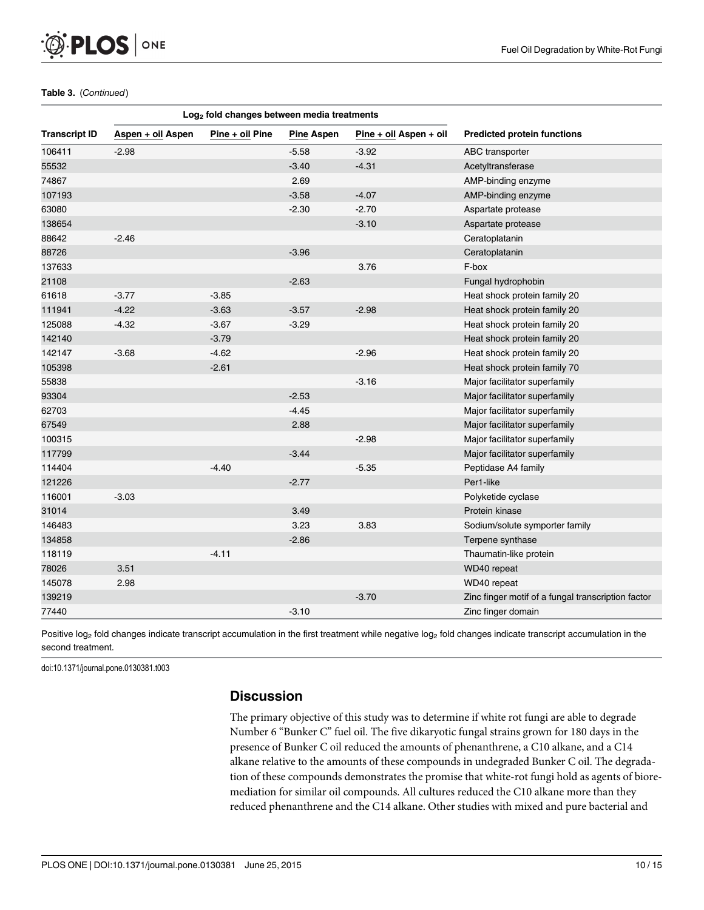

#### Table 3. (Continued)

|                      | Log <sub>2</sub> fold changes between media treatments |                 |                   |                        |                                                    |
|----------------------|--------------------------------------------------------|-----------------|-------------------|------------------------|----------------------------------------------------|
| <b>Transcript ID</b> | Aspen + oil Aspen                                      | Pine + oil Pine | <b>Pine Aspen</b> | Pine + oil Aspen + oil | <b>Predicted protein functions</b>                 |
| 106411               | $-2.98$                                                |                 | $-5.58$           | $-3.92$                | ABC transporter                                    |
| 55532                |                                                        |                 | $-3.40$           | $-4.31$                | Acetyltransferase                                  |
| 74867                |                                                        |                 | 2.69              |                        | AMP-binding enzyme                                 |
| 107193               |                                                        |                 | $-3.58$           | $-4.07$                | AMP-binding enzyme                                 |
| 63080                |                                                        |                 | $-2.30$           | $-2.70$                | Aspartate protease                                 |
| 138654               |                                                        |                 |                   | $-3.10$                | Aspartate protease                                 |
| 88642                | $-2.46$                                                |                 |                   |                        | Ceratoplatanin                                     |
| 88726                |                                                        |                 | $-3.96$           |                        | Ceratoplatanin                                     |
| 137633               |                                                        |                 |                   | 3.76                   | F-box                                              |
| 21108                |                                                        |                 | $-2.63$           |                        | Fungal hydrophobin                                 |
| 61618                | $-3.77$                                                | $-3.85$         |                   |                        | Heat shock protein family 20                       |
| 111941               | $-4.22$                                                | $-3.63$         | $-3.57$           | $-2.98$                | Heat shock protein family 20                       |
| 125088               | $-4.32$                                                | $-3.67$         | $-3.29$           |                        | Heat shock protein family 20                       |
| 142140               |                                                        | $-3.79$         |                   |                        | Heat shock protein family 20                       |
| 142147               | $-3.68$                                                | $-4.62$         |                   | $-2.96$                | Heat shock protein family 20                       |
| 105398               |                                                        | $-2.61$         |                   |                        | Heat shock protein family 70                       |
| 55838                |                                                        |                 |                   | $-3.16$                | Major facilitator superfamily                      |
| 93304                |                                                        |                 | $-2.53$           |                        | Major facilitator superfamily                      |
| 62703                |                                                        |                 | $-4.45$           |                        | Major facilitator superfamily                      |
| 67549                |                                                        |                 | 2.88              |                        | Major facilitator superfamily                      |
| 100315               |                                                        |                 |                   | $-2.98$                | Major facilitator superfamily                      |
| 117799               |                                                        |                 | $-3.44$           |                        | Major facilitator superfamily                      |
| 114404               |                                                        | $-4.40$         |                   | $-5.35$                | Peptidase A4 family                                |
| 121226               |                                                        |                 | $-2.77$           |                        | Per1-like                                          |
| 116001               | $-3.03$                                                |                 |                   |                        | Polyketide cyclase                                 |
| 31014                |                                                        |                 | 3.49              |                        | Protein kinase                                     |
| 146483               |                                                        |                 | 3.23              | 3.83                   | Sodium/solute symporter family                     |
| 134858               |                                                        |                 | $-2.86$           |                        | Terpene synthase                                   |
| 118119               |                                                        | $-4.11$         |                   |                        | Thaumatin-like protein                             |
| 78026                | 3.51                                                   |                 |                   |                        | WD40 repeat                                        |
| 145078               | 2.98                                                   |                 |                   |                        | WD40 repeat                                        |
| 139219               |                                                        |                 |                   | $-3.70$                | Zinc finger motif of a fungal transcription factor |
| 77440                |                                                        |                 | $-3.10$           |                        | Zinc finger domain                                 |

Positive log<sub>2</sub> fold changes indicate transcript accumulation in the first treatment while negative log<sub>2</sub> fold changes indicate transcript accumulation in the second treatment.

doi:10.1371/journal.pone.0130381.t003

## **Discussion**

The primary objective of this study was to determine if white rot fungi are able to degrade Number 6 "Bunker C" fuel oil. The five dikaryotic fungal strains grown for 180 days in the presence of Bunker C oil reduced the amounts of phenanthrene, a C10 alkane, and a C14 alkane relative to the amounts of these compounds in undegraded Bunker C oil. The degradation of these compounds demonstrates the promise that white-rot fungi hold as agents of bioremediation for similar oil compounds. All cultures reduced the C10 alkane more than they reduced phenanthrene and the C14 alkane. Other studies with mixed and pure bacterial and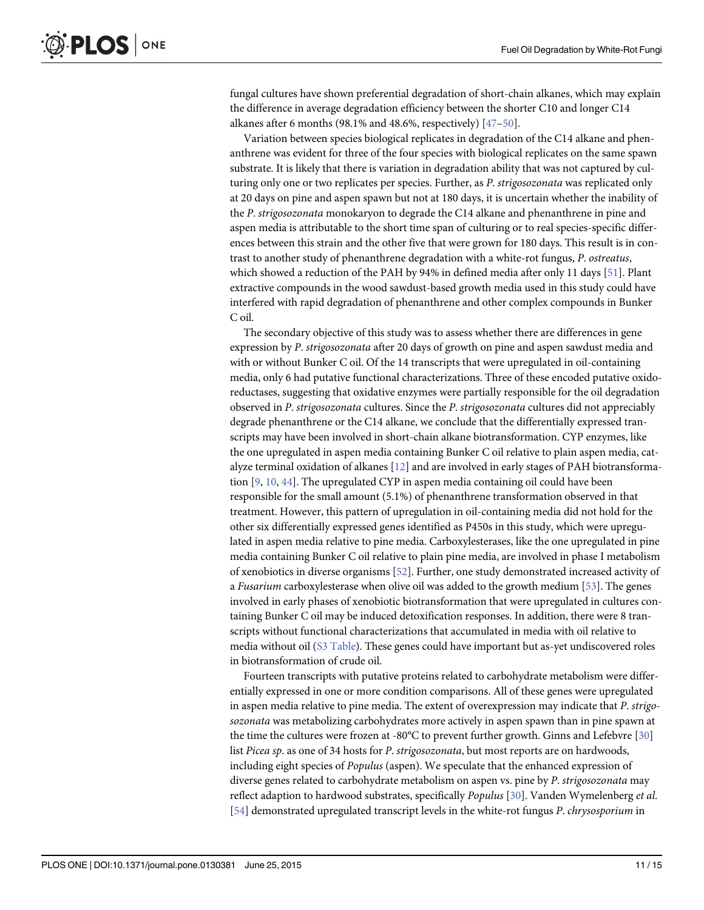<span id="page-10-0"></span>fungal cultures have shown preferential degradation of short-chain alkanes, which may explain the difference in average degradation efficiency between the shorter C10 and longer C14 alkanes after 6 months (98.1% and 48.6%, respectively)  $[47-50]$  $[47-50]$  $[47-50]$  $[47-50]$ .

Variation between species biological replicates in degradation of the C14 alkane and phenanthrene was evident for three of the four species with biological replicates on the same spawn substrate. It is likely that there is variation in degradation ability that was not captured by culturing only one or two replicates per species. Further, as P. strigosozonata was replicated only at 20 days on pine and aspen spawn but not at 180 days, it is uncertain whether the inability of the P. strigosozonata monokaryon to degrade the C14 alkane and phenanthrene in pine and aspen media is attributable to the short time span of culturing or to real species-specific differences between this strain and the other five that were grown for 180 days. This result is in contrast to another study of phenanthrene degradation with a white-rot fungus, P. ostreatus, which showed a reduction of the PAH by 94% in defined media after only 11 days [\[51\]](#page-14-0). Plant extractive compounds in the wood sawdust-based growth media used in this study could have interfered with rapid degradation of phenanthrene and other complex compounds in Bunker C oil.

The secondary objective of this study was to assess whether there are differences in gene expression by P. strigosozonata after 20 days of growth on pine and aspen sawdust media and with or without Bunker C oil. Of the 14 transcripts that were upregulated in oil-containing media, only 6 had putative functional characterizations. Three of these encoded putative oxidoreductases, suggesting that oxidative enzymes were partially responsible for the oil degradation observed in P. strigosozonata cultures. Since the P. strigosozonata cultures did not appreciably degrade phenanthrene or the C14 alkane, we conclude that the differentially expressed transcripts may have been involved in short-chain alkane biotransformation. CYP enzymes, like the one upregulated in aspen media containing Bunker C oil relative to plain aspen media, catalyze terminal oxidation of alkanes [\[12\]](#page-12-0) and are involved in early stages of PAH biotransformation [[9](#page-12-0), [10](#page-12-0), [44](#page-14-0)]. The upregulated CYP in aspen media containing oil could have been responsible for the small amount (5.1%) of phenanthrene transformation observed in that treatment. However, this pattern of upregulation in oil-containing media did not hold for the other six differentially expressed genes identified as P450s in this study, which were upregulated in aspen media relative to pine media. Carboxylesterases, like the one upregulated in pine media containing Bunker C oil relative to plain pine media, are involved in phase I metabolism of xenobiotics in diverse organisms  $[52]$  $[52]$  $[52]$ . Further, one study demonstrated increased activity of a Fusarium carboxylesterase when olive oil was added to the growth medium [\[53\]](#page-14-0). The genes involved in early phases of xenobiotic biotransformation that were upregulated in cultures containing Bunker C oil may be induced detoxification responses. In addition, there were 8 transcripts without functional characterizations that accumulated in media with oil relative to media without oil ([S3 Table\)](#page-11-0). These genes could have important but as-yet undiscovered roles in biotransformation of crude oil.

Fourteen transcripts with putative proteins related to carbohydrate metabolism were differentially expressed in one or more condition comparisons. All of these genes were upregulated in aspen media relative to pine media. The extent of overexpression may indicate that P. strigosozonata was metabolizing carbohydrates more actively in aspen spawn than in pine spawn at the time the cultures were frozen at -80°C to prevent further growth. Ginns and Lefebvre [\[30](#page-13-0)] list Picea sp. as one of 34 hosts for P. strigosozonata, but most reports are on hardwoods, including eight species of Populus (aspen). We speculate that the enhanced expression of diverse genes related to carbohydrate metabolism on aspen vs. pine by P. strigosozonata may reflect adaption to hardwood substrates, specifically Populus [[30](#page-13-0)]. Vanden Wymelenberg et al. [\[54](#page-14-0)] demonstrated upregulated transcript levels in the white-rot fungus P. chrysosporium in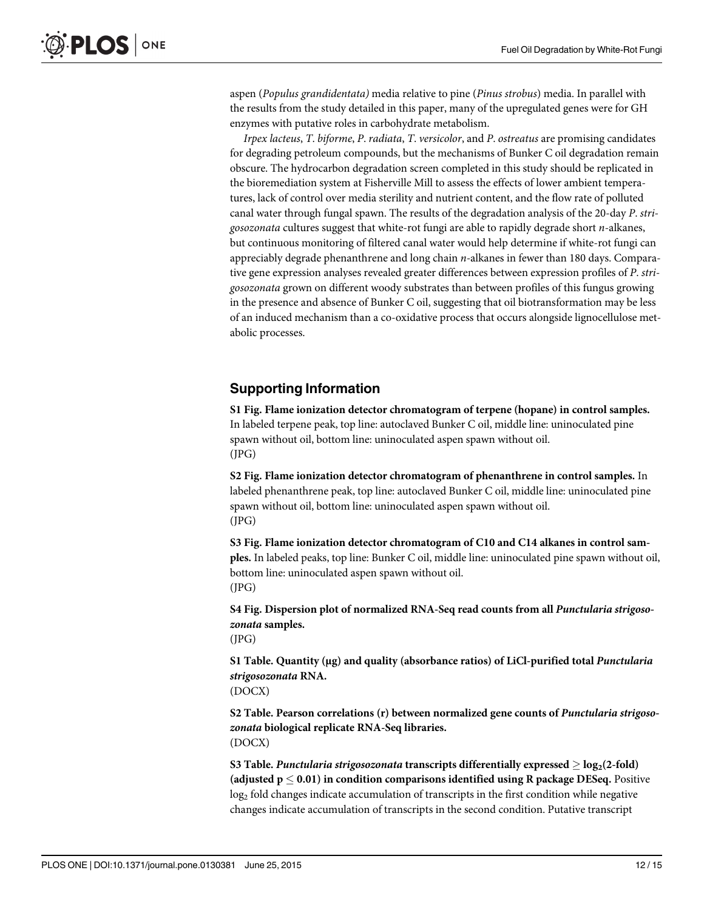<span id="page-11-0"></span>aspen (Populus grandidentata) media relative to pine (Pinus strobus) media. In parallel with the results from the study detailed in this paper, many of the upregulated genes were for GH enzymes with putative roles in carbohydrate metabolism.

Irpex lacteus, T. biforme, P. radiata, T. versicolor, and P. ostreatus are promising candidates for degrading petroleum compounds, but the mechanisms of Bunker C oil degradation remain obscure. The hydrocarbon degradation screen completed in this study should be replicated in the bioremediation system at Fisherville Mill to assess the effects of lower ambient temperatures, lack of control over media sterility and nutrient content, and the flow rate of polluted canal water through fungal spawn. The results of the degradation analysis of the 20-day P. strigosozonata cultures suggest that white-rot fungi are able to rapidly degrade short n-alkanes, but continuous monitoring of filtered canal water would help determine if white-rot fungi can appreciably degrade phenanthrene and long chain  $n$ -alkanes in fewer than 180 days. Comparative gene expression analyses revealed greater differences between expression profiles of P. strigosozonata grown on different woody substrates than between profiles of this fungus growing in the presence and absence of Bunker C oil, suggesting that oil biotransformation may be less of an induced mechanism than a co-oxidative process that occurs alongside lignocellulose metabolic processes.

## Supporting Information

[S1 Fig.](http://www.plosone.org/article/fetchSingleRepresentation.action?uri=info:doi/10.1371/journal.pone.0130381.s001) Flame ionization detector chromatogram of terpene (hopane) in control samples. In labeled terpene peak, top line: autoclaved Bunker C oil, middle line: uninoculated pine spawn without oil, bottom line: uninoculated aspen spawn without oil. (JPG)

[S2 Fig.](http://www.plosone.org/article/fetchSingleRepresentation.action?uri=info:doi/10.1371/journal.pone.0130381.s002) Flame ionization detector chromatogram of phenanthrene in control samples. In labeled phenanthrene peak, top line: autoclaved Bunker C oil, middle line: uninoculated pine spawn without oil, bottom line: uninoculated aspen spawn without oil. (JPG)

[S3 Fig.](http://www.plosone.org/article/fetchSingleRepresentation.action?uri=info:doi/10.1371/journal.pone.0130381.s003) Flame ionization detector chromatogram of C10 and C14 alkanes in control samples. In labeled peaks, top line: Bunker C oil, middle line: uninoculated pine spawn without oil, bottom line: uninoculated aspen spawn without oil. (JPG)

[S4 Fig.](http://www.plosone.org/article/fetchSingleRepresentation.action?uri=info:doi/10.1371/journal.pone.0130381.s004) Dispersion plot of normalized RNA-Seq read counts from all Punctularia strigosozonata samples.

(JPG)

[S1 Table](http://www.plosone.org/article/fetchSingleRepresentation.action?uri=info:doi/10.1371/journal.pone.0130381.s005). Quantity (μg) and quality (absorbance ratios) of LiCl-purified total Punctularia strigosozonata RNA.

(DOCX)

[S2 Table](http://www.plosone.org/article/fetchSingleRepresentation.action?uri=info:doi/10.1371/journal.pone.0130381.s006). Pearson correlations (r) between normalized gene counts of Punctularia strigosozonata biological replicate RNA-Seq libraries. (DOCX)

[S3 Table](http://www.plosone.org/article/fetchSingleRepresentation.action?uri=info:doi/10.1371/journal.pone.0130381.s007). Punctularia strigosozonata transcripts differentially expressed  $\geq$  log<sub>2</sub>(2-fold) (adjusted  $p \le 0.01$ ) in condition comparisons identified using R package DESeq. Positive log<sub>2</sub> fold changes indicate accumulation of transcripts in the first condition while negative changes indicate accumulation of transcripts in the second condition. Putative transcript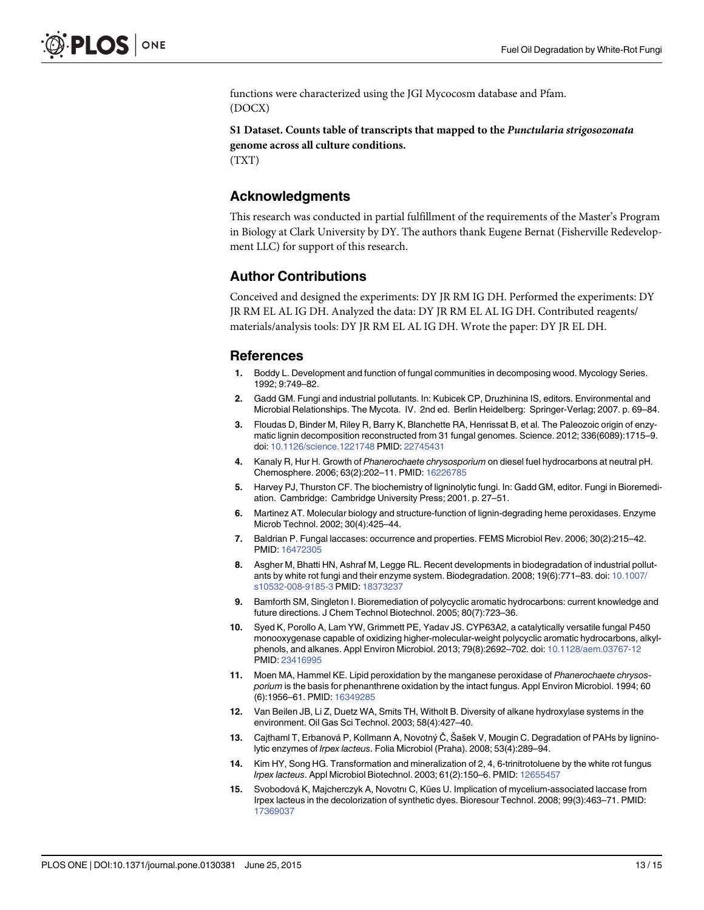<span id="page-12-0"></span>functions were characterized using the JGI Mycocosm database and Pfam. (DOCX)

### [S1 Dataset.](http://www.plosone.org/article/fetchSingleRepresentation.action?uri=info:doi/10.1371/journal.pone.0130381.s008) Counts table of transcripts that mapped to the Punctularia strigosozonata genome across all culture conditions.

(TXT)

## Acknowledgments

This research was conducted in partial fulfillment of the requirements of the Master's Program in Biology at Clark University by DY. The authors thank Eugene Bernat (Fisherville Redevelopment LLC) for support of this research.

## Author Contributions

Conceived and designed the experiments: DY JR RM IG DH. Performed the experiments: DY JR RM EL AL IG DH. Analyzed the data: DY JR RM EL AL IG DH. Contributed reagents/ materials/analysis tools: DY JR RM EL AL IG DH. Wrote the paper: DY JR EL DH.

## References

- [1.](#page-0-0) Boddy L. Development and function of fungal communities in decomposing wood. Mycology Series. 1992; 9:749–82.
- [2.](#page-0-0) Gadd GM. Fungi and industrial pollutants. In: Kubicek CP, Druzhinina IS, editors. Environmental and Microbial Relationships. The Mycota. IV. 2nd ed. Berlin Heidelberg: Springer-Verlag; 2007. p. 69–84.
- [3.](#page-0-0) Floudas D, Binder M, Riley R, Barry K, Blanchette RA, Henrissat B, et al. The Paleozoic origin of enzymatic lignin decomposition reconstructed from 31 fungal genomes. Science. 2012; 336(6089):1715–9. doi: [10.1126/science.1221748](http://dx.doi.org/10.1126/science.1221748) PMID: [22745431](http://www.ncbi.nlm.nih.gov/pubmed/22745431)
- [4.](#page-1-0) Kanaly R, Hur H. Growth of Phanerochaete chrysosporium on diesel fuel hydrocarbons at neutral pH. Chemosphere. 2006; 63(2):202–11. PMID: [16226785](http://www.ncbi.nlm.nih.gov/pubmed/16226785)
- [5.](#page-1-0) Harvey PJ, Thurston CF. The biochemistry of ligninolytic fungi. In: Gadd GM, editor. Fungi in Bioremediation. Cambridge: Cambridge University Press; 2001. p. 27–51.
- [6.](#page-1-0) Martinez AT. Molecular biology and structure-function of lignin-degrading heme peroxidases. Enzyme Microb Technol. 2002; 30(4):425–44.
- [7.](#page-1-0) Baldrian P. Fungal laccases: occurrence and properties. FEMS Microbiol Rev. 2006; 30(2):215–42. PMID: [16472305](http://www.ncbi.nlm.nih.gov/pubmed/16472305)
- [8.](#page-1-0) Asgher M, Bhatti HN, Ashraf M, Legge RL. Recent developments in biodegradation of industrial pollutants by white rot fungi and their enzyme system. Biodegradation. 2008; 19(6):771–83. doi: [10.1007/](http://dx.doi.org/10.1007/s10532-008-9185-3) [s10532-008-9185-3](http://dx.doi.org/10.1007/s10532-008-9185-3) PMID: [18373237](http://www.ncbi.nlm.nih.gov/pubmed/18373237)
- [9.](#page-1-0) Bamforth SM, Singleton I. Bioremediation of polycyclic aromatic hydrocarbons: current knowledge and future directions. J Chem Technol Biotechnol. 2005; 80(7):723–36.
- [10.](#page-1-0) Syed K, Porollo A, Lam YW, Grimmett PE, Yadav JS. CYP63A2, a catalytically versatile fungal P450 monooxygenase capable of oxidizing higher-molecular-weight polycyclic aromatic hydrocarbons, alkylphenols, and alkanes. Appl Environ Microbiol. 2013; 79(8):2692–702. doi: [10.1128/aem.03767-12](http://dx.doi.org/10.1128/aem.03767-12) PMID: [23416995](http://www.ncbi.nlm.nih.gov/pubmed/23416995)
- [11.](#page-1-0) Moen MA, Hammel KE. Lipid peroxidation by the manganese peroxidase of Phanerochaete chrysosporium is the basis for phenanthrene oxidation by the intact fungus. Appl Environ Microbiol. 1994; 60 (6):1956–61. PMID: [16349285](http://www.ncbi.nlm.nih.gov/pubmed/16349285)
- [12.](#page-1-0) Van Beilen JB, Li Z, Duetz WA, Smits TH, Witholt B. Diversity of alkane hydroxylase systems in the environment. Oil Gas Sci Technol. 2003; 58(4):427–40.
- [13.](#page-1-0) Cajthaml T, Erbanová P, Kollmann A, Novotný Č, Šašek V, Mougin C. Degradation of PAHs by ligninolytic enzymes of Irpex lacteus. Folia Microbiol (Praha). 2008; 53(4):289–94.
- [14.](#page-1-0) Kim HY, Song HG. Transformation and mineralization of 2, 4, 6-trinitrotoluene by the white rot fungus Irpex lacteus. Appl Microbiol Biotechnol. 2003; 61(2):150-6. PMID: [12655457](http://www.ncbi.nlm.nih.gov/pubmed/12655457)
- [15.](#page-1-0) Svobodová K, Majcherczyk A, Novotnı C, Kües U. Implication of mycelium-associated laccase from Irpex lacteus in the decolorization of synthetic dyes. Bioresour Technol. 2008; 99(3):463–71. PMID: [17369037](http://www.ncbi.nlm.nih.gov/pubmed/17369037)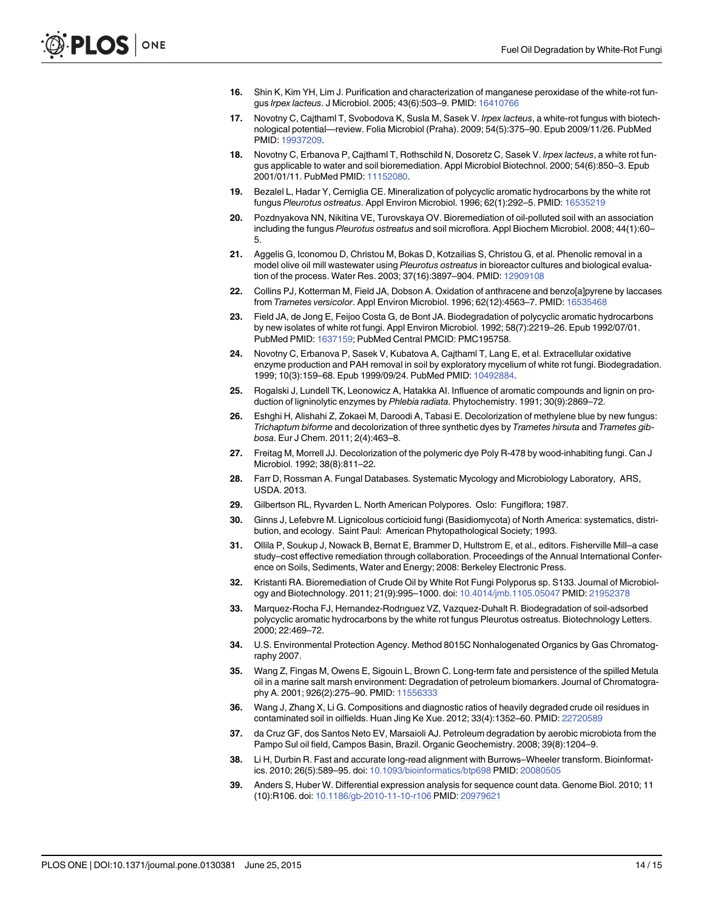- <span id="page-13-0"></span>[16.](#page-1-0) Shin K, Kim YH, Lim J. Purification and characterization of manganese peroxidase of the white-rot fungus Irpex lacteus. J Microbiol. 2005; 43(6):503–9. PMID: [16410766](http://www.ncbi.nlm.nih.gov/pubmed/16410766)
- [17.](#page-1-0) Novotny C, Cajthaml T, Svobodova K, Susla M, Sasek V. Irpex lacteus, a white-rot fungus with biotechnological potential—review. Folia Microbiol (Praha). 2009; 54(5):375–90. Epub 2009/11/26. PubMed PMID: [19937209.](http://www.ncbi.nlm.nih.gov/pubmed/19937209)
- [18.](#page-1-0) Novotny C, Erbanova P, Cajthaml T, Rothschild N, Dosoretz C, Sasek V. Irpex lacteus, a white rot fungus applicable to water and soil bioremediation. Appl Microbiol Biotechnol. 2000; 54(6):850–3. Epub 2001/01/11. PubMed PMID: [11152080.](http://www.ncbi.nlm.nih.gov/pubmed/11152080)
- [19.](#page-1-0) Bezalel L, Hadar Y, Cerniglia CE. Mineralization of polycyclic aromatic hydrocarbons by the white rot fungus Pleurotus ostreatus. Appl Environ Microbiol. 1996; 62(1):292–5. PMID: [16535219](http://www.ncbi.nlm.nih.gov/pubmed/16535219)
- 20. Pozdnyakova NN, Nikitina VE, Turovskaya OV. Bioremediation of oil-polluted soil with an association including the fungus Pleurotus ostreatus and soil microflora. Appl Biochem Microbiol. 2008; 44(1):60– 5.
- [21.](#page-1-0) Aggelis G, Iconomou D, Christou M, Bokas D, Kotzailias S, Christou G, et al. Phenolic removal in a model olive oil mill wastewater using Pleurotus ostreatus in bioreactor cultures and biological evaluation of the process. Water Res. 2003; 37(16):3897–904. PMID: [12909108](http://www.ncbi.nlm.nih.gov/pubmed/12909108)
- [22.](#page-1-0) Collins PJ, Kotterman M, Field JA, Dobson A. Oxidation of anthracene and benzo[a]pyrene by laccases from Trametes versicolor. Appl Environ Microbiol. 1996; 62(12):4563–7. PMID: [16535468](http://www.ncbi.nlm.nih.gov/pubmed/16535468)
- 23. Field JA, de Jong E, Feijoo Costa G, de Bont JA. Biodegradation of polycyclic aromatic hydrocarbons by new isolates of white rot fungi. Appl Environ Microbiol. 1992; 58(7):2219–26. Epub 1992/07/01. PubMed PMID: [1637159;](http://www.ncbi.nlm.nih.gov/pubmed/1637159) PubMed Central PMCID: PMC195758.
- [24.](#page-1-0) Novotny C, Erbanova P, Sasek V, Kubatova A, Cajthaml T, Lang E, et al. Extracellular oxidative enzyme production and PAH removal in soil by exploratory mycelium of white rot fungi. Biodegradation. 1999; 10(3):159–68. Epub 1999/09/24. PubMed PMID: [10492884](http://www.ncbi.nlm.nih.gov/pubmed/10492884).
- [25.](#page-1-0) Rogalski J, Lundell TK, Leonowicz A, Hatakka AI. Influence of aromatic compounds and lignin on production of ligninolytic enzymes by Phlebia radiata. Phytochemistry. 1991; 30(9):2869–72.
- [26.](#page-1-0) Eshghi H, Alishahi Z, Zokaei M, Daroodi A, Tabasi E. Decolorization of methylene blue by new fungus: Trichaptum biforme and decolorization of three synthetic dyes by Trametes hirsuta and Trametes gibbosa. Eur J Chem. 2011; 2(4):463–8.
- [27.](#page-1-0) Freitag M, Morrell JJ. Decolorization of the polymeric dye Poly R-478 by wood-inhabiting fungi. Can J Microbiol. 1992; 38(8):811–22.
- [28.](#page-1-0) Farr D, Rossman A. Fungal Databases. Systematic Mycology and Microbiology Laboratory, ARS, USDA. 2013.
- 29. Gilbertson RL, Ryvarden L. North American Polypores. Oslo: Fungiflora; 1987.
- [30.](#page-1-0) Ginns J, Lefebvre M. Lignicolous corticioid fungi (Basidiomycota) of North America: systematics, distribution, and ecology. Saint Paul: American Phytopathological Society; 1993.
- [31.](#page-1-0) Ollila P, Soukup J, Nowack B, Bernat E, Brammer D, Hultstrom E, et al., editors. Fisherville Mill–a case study–cost effective remediation through collaboration. Proceedings of the Annual International Conference on Soils, Sediments, Water and Energy; 2008: Berkeley Electronic Press.
- [32.](#page-1-0) Kristanti RA. Bioremediation of Crude Oil by White Rot Fungi Polyporus sp. S133. Journal of Microbiology and Biotechnology. 2011; 21(9):995–1000. doi: [10.4014/jmb.1105.05047](http://dx.doi.org/10.4014/jmb.1105.05047) PMID: [21952378](http://www.ncbi.nlm.nih.gov/pubmed/21952378)
- [33.](#page-1-0) Marquez-Rocha FJ, Hernandez-Rodrıguez VZ, Vazquez-Duhalt R. Biodegradation of soil-adsorbed polycyclic aromatic hydrocarbons by the white rot fungus Pleurotus ostreatus. Biotechnology Letters. 2000; 22:469–72.
- [34.](#page-2-0) U.S. Environmental Protection Agency. Method 8015C Nonhalogenated Organics by Gas Chromatography 2007.
- [35.](#page-3-0) Wang Z, Fingas M, Owens E, Sigouin L, Brown C. Long-term fate and persistence of the spilled Metula oil in a marine salt marsh environment: Degradation of petroleum biomarkers. Journal of Chromatogra-phy A. 2001; 926(2):275-90. PMID: [11556333](http://www.ncbi.nlm.nih.gov/pubmed/11556333)
- [36.](#page-3-0) Wang J, Zhang X, Li G. Compositions and diagnostic ratios of heavily degraded crude oil residues in contaminated soil in oilfields. Huan Jing Ke Xue. 2012; 33(4):1352–60. PMID: [22720589](http://www.ncbi.nlm.nih.gov/pubmed/22720589)
- [37.](#page-3-0) da Cruz GF, dos Santos Neto EV, Marsaioli AJ. Petroleum degradation by aerobic microbiota from the Pampo Sul oil field, Campos Basin, Brazil. Organic Geochemistry. 2008; 39(8):1204–9.
- [38.](#page-4-0) Li H, Durbin R. Fast and accurate long-read alignment with Burrows–Wheeler transform. Bioinformatics. 2010; 26(5):589–95. doi: [10.1093/bioinformatics/btp698](http://dx.doi.org/10.1093/bioinformatics/btp698) PMID: [20080505](http://www.ncbi.nlm.nih.gov/pubmed/20080505)
- [39.](#page-4-0) Anders S, Huber W. Differential expression analysis for sequence count data. Genome Biol. 2010; 11 (10):R106. doi: [10.1186/gb-2010-11-10-r106](http://dx.doi.org/10.1186/gb-2010-11-10-r106) PMID: [20979621](http://www.ncbi.nlm.nih.gov/pubmed/20979621)